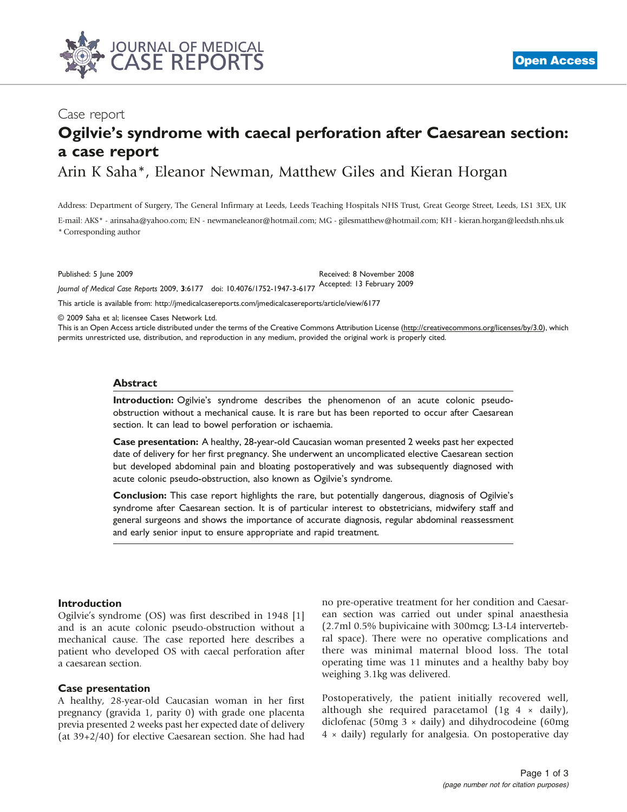

# Case report

# Ogilvie's syndrome with caecal perforation after Caesarean section: a case report

Arin K Saha\*, Eleanor Newman, Matthew Giles and Kieran Horgan

Address: Department of Surgery, The General Infirmary at Leeds, Leeds Teaching Hospitals NHS Trust, Great George Street, Leeds, LS1 3EX, UK

E-mail: AKS\* - arinsaha@yahoo.com; EN - newmaneleanor@hotmail.com; MG - gilesmatthew@hotmail.com; KH - kieran.horgan@leedsth.nhs.uk \* Corresponding author

Published: 5 June 2009 Received: 8 November 2008 Journal of Medical Case Reports 2009, 3:6177 doi: 10.4076/1752-1947-3-6177 Accepted: 13 February 2009

This article is available from:<http://jmedicalcasereports.com/jmedicalcasereports/article/view/6177>

© 2009 Saha et al; licensee Cases Network Ltd.

This is an Open Access article distributed under the terms of the Creative Commons Attribution License [\(http://creativecommons.org/licenses/by/3.0](http://creativecommons.org/licenses/by/3.0)), which permits unrestricted use, distribution, and reproduction in any medium, provided the original work is properly cited.

#### Abstract

Introduction: Ogilvie's syndrome describes the phenomenon of an acute colonic pseudoobstruction without a mechanical cause. It is rare but has been reported to occur after Caesarean section. It can lead to bowel perforation or ischaemia.

Case presentation: A healthy, 28-year-old Caucasian woman presented 2 weeks past her expected date of delivery for her first pregnancy. She underwent an uncomplicated elective Caesarean section but developed abdominal pain and bloating postoperatively and was subsequently diagnosed with acute colonic pseudo-obstruction, also known as Ogilvie's syndrome.

Conclusion: This case report highlights the rare, but potentially dangerous, diagnosis of Ogilvie's syndrome after Caesarean section. It is of particular interest to obstetricians, midwifery staff and general surgeons and shows the importance of accurate diagnosis, regular abdominal reassessment and early senior input to ensure appropriate and rapid treatment.

## Introduction

Ogilvie's syndrome (OS) was first described in 1948 [1] and is an acute colonic pseudo-obstruction without a mechanical cause. The case reported here describes a patient who developed OS with caecal perforation after a caesarean section.

## Case presentation

A healthy, 28-year-old Caucasian woman in her first pregnancy (gravida 1, parity 0) with grade one placenta previa presented 2 weeks past her expected date of delivery (at 39+2/40) for elective Caesarean section. She had had

no pre-operative treatment for her condition and Caesarean section was carried out under spinal anaesthesia (2.7ml 0.5% bupivicaine with 300mcg; L3-L4 intervertebral space). There were no operative complications and there was minimal maternal blood loss. The total operating time was 11 minutes and a healthy baby boy weighing 3.1kg was delivered.

Postoperatively, the patient initially recovered well, although she required paracetamol  $(1g \, 4 \times \text{daily})$ , diclofenac (50mg  $3 \times$  daily) and dihydrocodeine (60mg) 4 × daily) regularly for analgesia. On postoperative day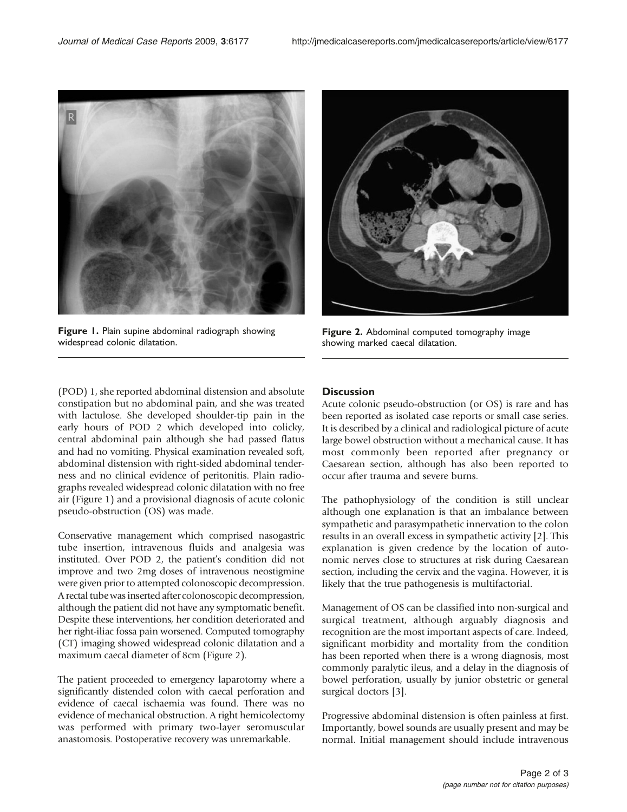

Figure 1. Plain supine abdominal radiograph showing widespread colonic dilatation.



Figure 2. Abdominal computed tomography image showing marked caecal dilatation.

(POD) 1, she reported abdominal distension and absolute constipation but no abdominal pain, and she was treated with lactulose. She developed shoulder-tip pain in the early hours of POD 2 which developed into colicky, central abdominal pain although she had passed flatus and had no vomiting. Physical examination revealed soft, abdominal distension with right-sided abdominal tenderness and no clinical evidence of peritonitis. Plain radiographs revealed widespread colonic dilatation with no free air (Figure 1) and a provisional diagnosis of acute colonic pseudo-obstruction (OS) was made.

Conservative management which comprised nasogastric tube insertion, intravenous fluids and analgesia was instituted. Over POD 2, the patient's condition did not improve and two 2mg doses of intravenous neostigmine were given prior to attempted colonoscopic decompression. A rectal tube was inserted after colonoscopic decompression, although the patient did not have any symptomatic benefit. Despite these interventions, her condition deteriorated and her right-iliac fossa pain worsened. Computed tomography (CT) imaging showed widespread colonic dilatation and a maximum caecal diameter of 8cm (Figure 2).

The patient proceeded to emergency laparotomy where a significantly distended colon with caecal perforation and evidence of caecal ischaemia was found. There was no evidence of mechanical obstruction. A right hemicolectomy was performed with primary two-layer seromuscular anastomosis. Postoperative recovery was unremarkable.

# **Discussion**

Acute colonic pseudo-obstruction (or OS) is rare and has been reported as isolated case reports or small case series. It is described by a clinical and radiological picture of acute large bowel obstruction without a mechanical cause. It has most commonly been reported after pregnancy or Caesarean section, although has also been reported to occur after trauma and severe burns.

The pathophysiology of the condition is still unclear although one explanation is that an imbalance between sympathetic and parasympathetic innervation to the colon results in an overall excess in sympathetic activity [2]. This explanation is given credence by the location of autonomic nerves close to structures at risk during Caesarean section, including the cervix and the vagina. However, it is likely that the true pathogenesis is multifactorial.

Management of OS can be classified into non-surgical and surgical treatment, although arguably diagnosis and recognition are the most important aspects of care. Indeed, significant morbidity and mortality from the condition has been reported when there is a wrong diagnosis, most commonly paralytic ileus, and a delay in the diagnosis of bowel perforation, usually by junior obstetric or general surgical doctors [3].

Progressive abdominal distension is often painless at first. Importantly, bowel sounds are usually present and may be normal. Initial management should include intravenous